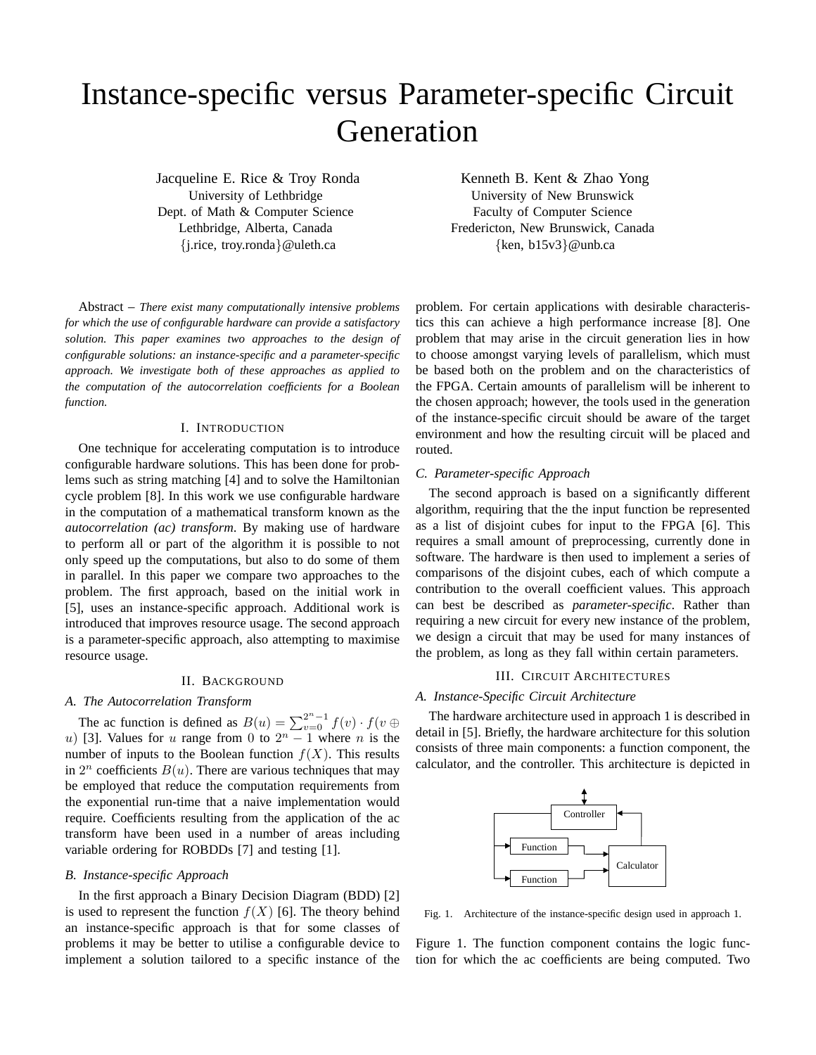# Instance-specific versus Parameter-specific Circuit Generation

Jacqueline E. Rice & Troy Ronda University of Lethbridge Dept. of Math & Computer Science Lethbridge, Alberta, Canada {j.rice, troy.ronda}@uleth.ca

Abstract – *There exist many computationally intensive problems for which the use of configurable hardware can provide a satisfactory solution. This paper examines two approaches to the design of configurable solutions: an instance-specific and a parameter-specific approach. We investigate both of these approaches as applied to the computation of the autocorrelation coefficients for a Boolean function.*

#### I. INTRODUCTION

One technique for accelerating computation is to introduce configurable hardware solutions. This has been done for problems such as string matching [4] and to solve the Hamiltonian cycle problem [8]. In this work we use configurable hardware in the computation of a mathematical transform known as the *autocorrelation (ac) transform*. By making use of hardware to perform all or part of the algorithm it is possible to not only speed up the computations, but also to do some of them in parallel. In this paper we compare two approaches to the problem. The first approach, based on the initial work in [5], uses an instance-specific approach. Additional work is introduced that improves resource usage. The second approach is a parameter-specific approach, also attempting to maximise resource usage.

## II. BACKGROUND

# *A. The Autocorrelation Transform*

The ac function is defined as  $B(u) = \sum_{v=0}^{2^n - 1} f(v) \cdot f(v \oplus$ u) [3]. Values for u range from 0 to  $2^n - 1$  where n is the number of inputs to the Boolean function  $f(X)$ . This results in  $2^n$  coefficients  $B(u)$ . There are various techniques that may be employed that reduce the computation requirements from the exponential run-time that a naive implementation would require. Coefficients resulting from the application of the ac transform have been used in a number of areas including variable ordering for ROBDDs [7] and testing [1].

#### *B. Instance-specific Approach*

In the first approach a Binary Decision Diagram (BDD) [2] is used to represent the function  $f(X)$  [6]. The theory behind an instance-specific approach is that for some classes of problems it may be better to utilise a configurable device to implement a solution tailored to a specific instance of the

Kenneth B. Kent & Zhao Yong University of New Brunswick Faculty of Computer Science Fredericton, New Brunswick, Canada {ken, b15v3}@unb.ca

problem. For certain applications with desirable characteristics this can achieve a high performance increase [8]. One problem that may arise in the circuit generation lies in how to choose amongst varying levels of parallelism, which must be based both on the problem and on the characteristics of the FPGA. Certain amounts of parallelism will be inherent to the chosen approach; however, the tools used in the generation of the instance-specific circuit should be aware of the target environment and how the resulting circuit will be placed and routed.

#### *C. Parameter-specific Approach*

The second approach is based on a significantly different algorithm, requiring that the the input function be represented as a list of disjoint cubes for input to the FPGA [6]. This requires a small amount of preprocessing, currently done in software. The hardware is then used to implement a series of comparisons of the disjoint cubes, each of which compute a contribution to the overall coefficient values. This approach can best be described as *parameter-specific*. Rather than requiring a new circuit for every new instance of the problem, we design a circuit that may be used for many instances of the problem, as long as they fall within certain parameters.

## III. CIRCUIT ARCHITECTURES

# *A. Instance-Specific Circuit Architecture*

The hardware architecture used in approach 1 is described in detail in [5]. Briefly, the hardware architecture for this solution consists of three main components: a function component, the calculator, and the controller. This architecture is depicted in



Fig. 1. Architecture of the instance-specific design used in approach 1.

Figure 1. The function component contains the logic function for which the ac coefficients are being computed. Two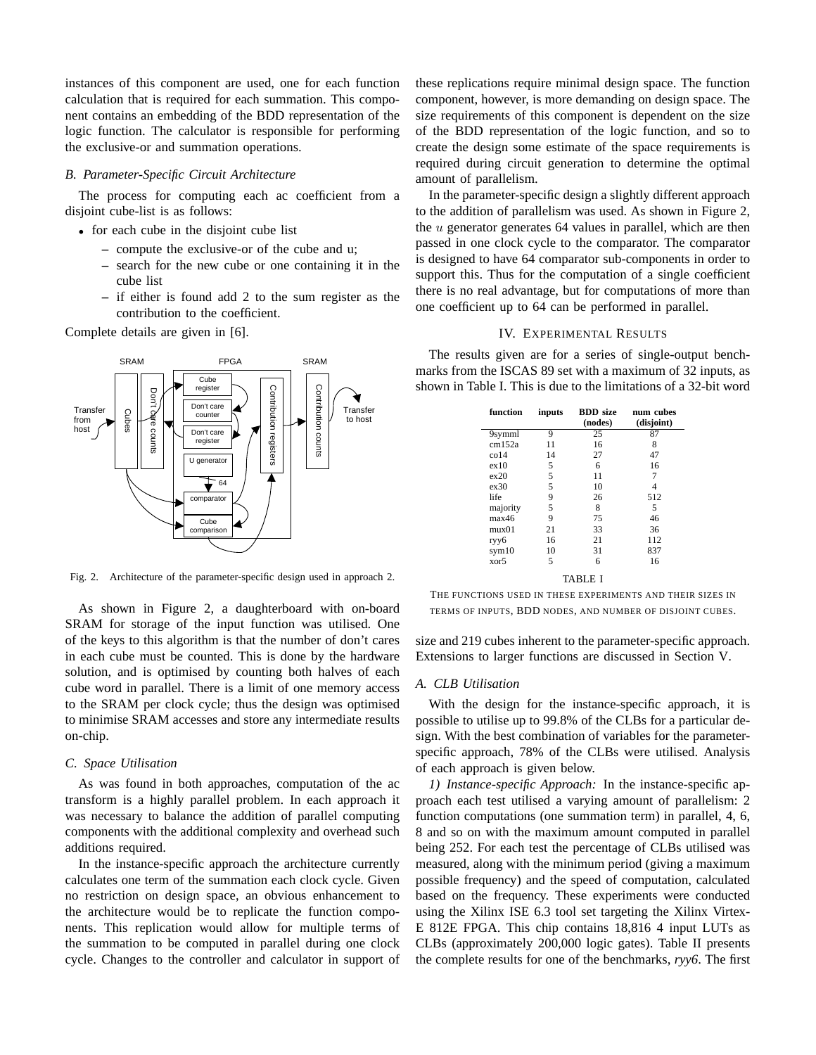instances of this component are used, one for each function calculation that is required for each summation. This component contains an embedding of the BDD representation of the logic function. The calculator is responsible for performing the exclusive-or and summation operations.

#### *B. Parameter-Specific Circuit Architecture*

The process for computing each ac coefficient from a disjoint cube-list is as follows:

- for each cube in the disjoint cube list
	- **–** compute the exclusive-or of the cube and u;
	- **–** search for the new cube or one containing it in the cube list
	- **–** if either is found add 2 to the sum register as the contribution to the coefficient.

Complete details are given in [6].



Fig. 2. Architecture of the parameter-specific design used in approach 2.

As shown in Figure 2, a daughterboard with on-board SRAM for storage of the input function was utilised. One of the keys to this algorithm is that the number of don't cares in each cube must be counted. This is done by the hardware solution, and is optimised by counting both halves of each cube word in parallel. There is a limit of one memory access to the SRAM per clock cycle; thus the design was optimised to minimise SRAM accesses and store any intermediate results on-chip.

# *C. Space Utilisation*

As was found in both approaches, computation of the ac transform is a highly parallel problem. In each approach it was necessary to balance the addition of parallel computing components with the additional complexity and overhead such additions required.

In the instance-specific approach the architecture currently calculates one term of the summation each clock cycle. Given no restriction on design space, an obvious enhancement to the architecture would be to replicate the function components. This replication would allow for multiple terms of the summation to be computed in parallel during one clock cycle. Changes to the controller and calculator in support of these replications require minimal design space. The function component, however, is more demanding on design space. The size requirements of this component is dependent on the size of the BDD representation of the logic function, and so to create the design some estimate of the space requirements is required during circuit generation to determine the optimal amount of parallelism.

In the parameter-specific design a slightly different approach to the addition of parallelism was used. As shown in Figure 2, the  $u$  generator generates 64 values in parallel, which are then passed in one clock cycle to the comparator. The comparator is designed to have 64 comparator sub-components in order to support this. Thus for the computation of a single coefficient there is no real advantage, but for computations of more than one coefficient up to 64 can be performed in parallel.

# IV. EXPERIMENTAL RESULTS

The results given are for a series of single-output benchmarks from the ISCAS 89 set with a maximum of 32 inputs, as shown in Table I. This is due to the limitations of a 32-bit word

| function | inputs | <b>BDD</b> size<br>(nodes) | num cubes<br>(disjoint) |
|----------|--------|----------------------------|-------------------------|
|          | 9      | 25                         | 87                      |
| 9symml   |        |                            |                         |
| cm152a   | 11     | 16                         | 8                       |
| co14     | 14     | 27                         | 47                      |
| ex10     | 5      | 6                          | 16                      |
| ex20     | 5      | 11                         | 7                       |
| ex30     | 5      | 10                         | 4                       |
| life     | 9      | 26                         | 512                     |
| majority | 5      | 8                          | 5                       |
| max46    | 9      | 75                         | 46                      |
| mux01    | 21     | 33                         | 36                      |
| ryy6     | 16     | 21                         | 112                     |
| sym10    | 10     | 31                         | 837                     |
| xor5     | 5      | 6                          | 16                      |
| TABLE I  |        |                            |                         |

THE FUNCTIONS USED IN THESE EXPERIMENTS AND THEIR SIZES IN TERMS OF INPUTS, BDD NODES, AND NUMBER OF DISJOINT CUBES.

size and 219 cubes inherent to the parameter-specific approach. Extensions to larger functions are discussed in Section V.

## *A. CLB Utilisation*

With the design for the instance-specific approach, it is possible to utilise up to 99.8% of the CLBs for a particular design. With the best combination of variables for the parameterspecific approach, 78% of the CLBs were utilised. Analysis of each approach is given below.

*1) Instance-specific Approach:* In the instance-specific approach each test utilised a varying amount of parallelism: 2 function computations (one summation term) in parallel, 4, 6, 8 and so on with the maximum amount computed in parallel being 252. For each test the percentage of CLBs utilised was measured, along with the minimum period (giving a maximum possible frequency) and the speed of computation, calculated based on the frequency. These experiments were conducted using the Xilinx ISE 6.3 tool set targeting the Xilinx Virtex-E 812E FPGA. This chip contains 18,816 4 input LUTs as CLBs (approximately 200,000 logic gates). Table II presents the complete results for one of the benchmarks, *ryy6*. The first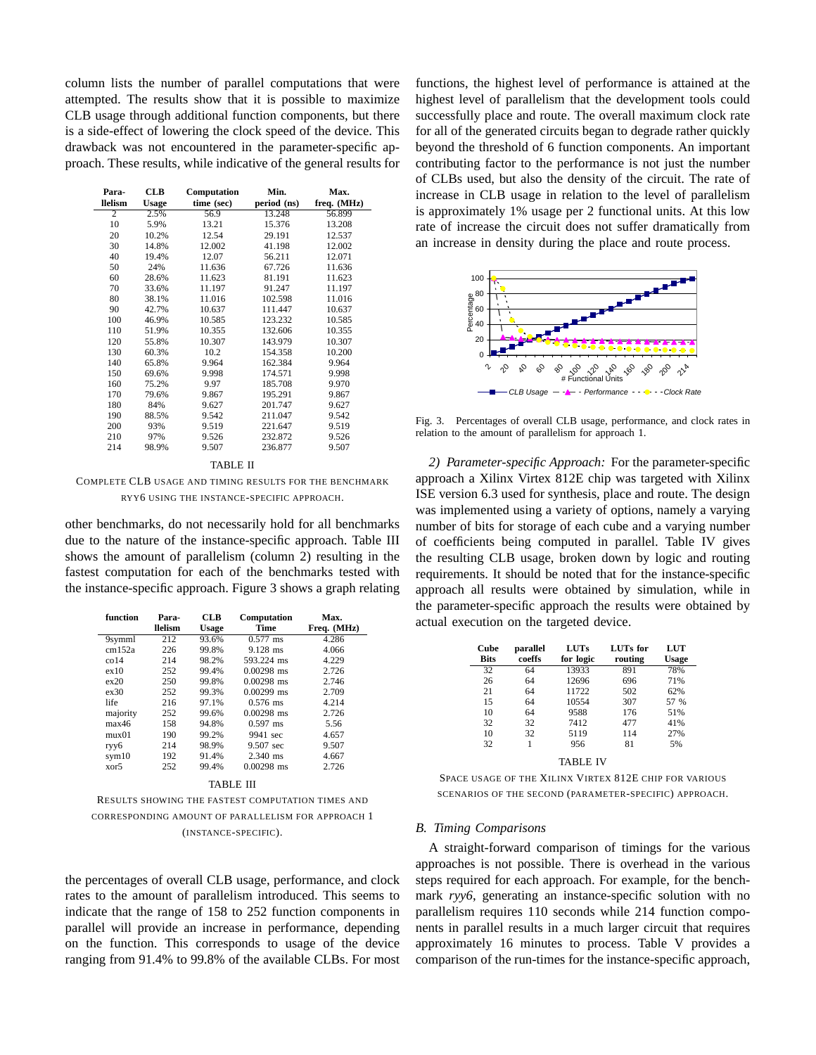column lists the number of parallel computations that were attempted. The results show that it is possible to maximize CLB usage through additional function components, but there is a side-effect of lowering the clock speed of the device. This drawback was not encountered in the parameter-specific approach. These results, while indicative of the general results for

| Para-          | <b>CLB</b>   | Computation | Min.        | Max.        |
|----------------|--------------|-------------|-------------|-------------|
| llelism        | <b>Usage</b> | time (sec)  | period (ns) | freq. (MHz) |
| $\overline{c}$ | 2.5%         | 56.9        | 13.248      | 56.899      |
| 10             | 5.9%         | 13.21       | 15.376      | 13.208      |
| 20             | 10.2%        | 12.54       | 29.191      | 12.537      |
| 30             | 14.8%        | 12.002      | 41.198      | 12.002      |
| 40             | 19.4%        | 12.07       | 56.211      | 12.071      |
| 50             | 24%          | 11.636      | 67.726      | 11.636      |
| 60             | 28.6%        | 11.623      | 81.191      | 11.623      |
| 70             | 33.6%        | 11.197      | 91.247      | 11.197      |
| 80             | 38.1%        | 11.016      | 102.598     | 11.016      |
| 90             | 42.7%        | 10.637      | 111.447     | 10.637      |
| 100            | 46.9%        | 10.585      | 123.232     | 10.585      |
| 110            | 51.9%        | 10.355      | 132.606     | 10.355      |
| 120            | 55.8%        | 10.307      | 143.979     | 10.307      |
| 130            | 60.3%        | 10.2        | 154.358     | 10.200      |
| 140            | 65.8%        | 9.964       | 162.384     | 9.964       |
| 150            | 69.6%        | 9.998       | 174.571     | 9.998       |
| 160            | 75.2%        | 9.97        | 185.708     | 9.970       |
| 170            | 79.6%        | 9.867       | 195.291     | 9.867       |
| 180            | 84%          | 9.627       | 201.747     | 9.627       |
| 190            | 88.5%        | 9.542       | 211.047     | 9.542       |
| 200            | 93%          | 9.519       | 221.647     | 9.519       |
| 210            | 97%          | 9.526       | 232.872     | 9.526       |
| 214            | 98.9%        | 9.507       | 236.877     | 9.507       |

## TABLE II

COMPLETE CLB USAGE AND TIMING RESULTS FOR THE BENCHMARK RYY6 USING THE INSTANCE-SPECIFIC APPROACH.

other benchmarks, do not necessarily hold for all benchmarks due to the nature of the instance-specific approach. Table III shows the amount of parallelism (column 2) resulting in the fastest computation for each of the benchmarks tested with the instance-specific approach. Figure 3 shows a graph relating

| function | Para-   | <b>CLB</b>   | <b>Computation</b> | Max.        |
|----------|---------|--------------|--------------------|-------------|
|          | llelism | <b>Usage</b> | <b>Time</b>        | Freq. (MHz) |
| 9symml   | 212     | 93.6%        | $0.577$ ms         | 4.286       |
| cm152a   | 226     | 99.8%        | $9.128$ ms         | 4.066       |
| $\cot 4$ | 214     | 98.2%        | 593.224 ms         | 4.229       |
| ex10     | 252     | 99.4%        | $0.00298$ ms       | 2.726       |
| ex20     | 250     | 99.8%        | $0.00298$ ms       | 2.746       |
| ex30     | 252     | 99.3%        | $0.00299$ ms       | 2.709       |
| life     | 216     | 97.1%        | $0.576$ ms         | 4.214       |
| majority | 252     | 99.6%        | $0.00298$ ms       | 2.726       |
| max46    | 158     | 94.8%        | $0.597$ ms         | 5.56        |
| mux01    | 190     | 99.2%        | 9941 sec           | 4.657       |
| ryy6     | 214     | 98.9%        | 9.507 sec          | 9.507       |
| sym10    | 192     | 91.4%        | $2.340$ ms         | 4.667       |
| xor5     | 252     | 99.4%        | $0.00298$ ms       | 2.726       |
|          |         |              | TABLE III          |             |

RESULTS SHOWING THE FASTEST COMPUTATION TIMES AND CORRESPONDING AMOUNT OF PARALLELISM FOR APPROACH 1 (INSTANCE-SPECIFIC).

the percentages of overall CLB usage, performance, and clock rates to the amount of parallelism introduced. This seems to indicate that the range of 158 to 252 function components in parallel will provide an increase in performance, depending on the function. This corresponds to usage of the device ranging from 91.4% to 99.8% of the available CLBs. For most functions, the highest level of performance is attained at the highest level of parallelism that the development tools could successfully place and route. The overall maximum clock rate for all of the generated circuits began to degrade rather quickly beyond the threshold of 6 function components. An important contributing factor to the performance is not just the number of CLBs used, but also the density of the circuit. The rate of increase in CLB usage in relation to the level of parallelism is approximately 1% usage per 2 functional units. At this low rate of increase the circuit does not suffer dramatically from an increase in density during the place and route process.



Fig. 3. Percentages of overall CLB usage, performance, and clock rates in relation to the amount of parallelism for approach 1.

*2) Parameter-specific Approach:* For the parameter-specific approach a Xilinx Virtex 812E chip was targeted with Xilinx ISE version 6.3 used for synthesis, place and route. The design was implemented using a variety of options, namely a varying number of bits for storage of each cube and a varying number of coefficients being computed in parallel. Table IV gives the resulting CLB usage, broken down by logic and routing requirements. It should be noted that for the instance-specific approach all results were obtained by simulation, while in the parameter-specific approach the results were obtained by actual execution on the targeted device.

| Cube<br><b>Bits</b> | parallel<br>coeffs | <b>LUTs</b><br>for logic | LUTs for<br>routing | LUT<br>Usage |
|---------------------|--------------------|--------------------------|---------------------|--------------|
| 32                  | 64                 | 13933                    | 891                 | 78%          |
| 26                  | 64                 | 12696                    | 696                 | 71%          |
| 21                  | 64                 | 11722                    | 502                 | 62%          |
| 15                  | 64                 | 10554                    | 307                 | 57 %         |
| 10                  | 64                 | 9588                     | 176                 | 51%          |
| 32                  | 32                 | 7412                     | 477                 | 41%          |
| 10                  | 32                 | 5119                     | 114                 | 27%          |
| 32                  |                    | 956                      | 81                  | 5%           |
|                     |                    | --------                 |                     |              |

TABLE IV

SPACE USAGE OF THE XILINX VIRTEX 812E CHIP FOR VARIOUS SCENARIOS OF THE SECOND (PARAMETER-SPECIFIC) APPROACH.

#### *B. Timing Comparisons*

A straight-forward comparison of timings for the various approaches is not possible. There is overhead in the various steps required for each approach. For example, for the benchmark *ryyb*, generating an instance-specific solution with no parallelism requires 110 seconds while 214 function components in parallel results in a much larger circuit that requires approximately 16 minutes to process. Table V provides a comparison of the run-times for the instance-specific approach,